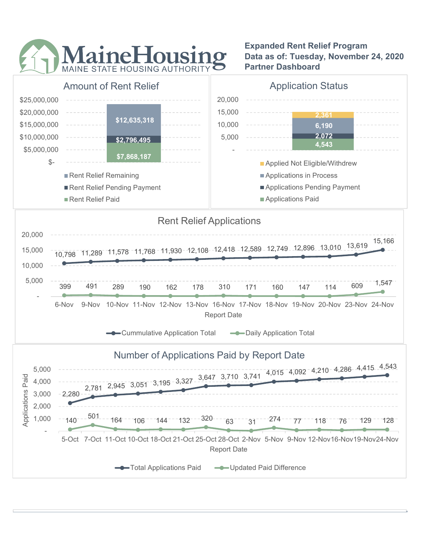

Expanded Rent Relief Program Data as of: Tuesday, November 24, 2020 Partner Dashboard